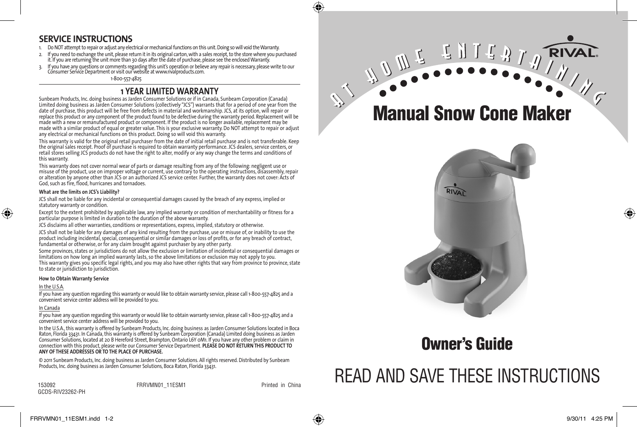## **SERVICE INSTRUCTIONS**

- 1. Do NOT attempt to repair or adjust any electrical or mechanical functions on this unit. Doing so will void the Warranty.
- 2. If you need to exchange the unit, please return it in its original carton, with a sales receipt, to the store where you purchased it. If you are returning the unit more than 30 days after the date of purchase, please see the enclosed Warranty.
- 3. It you have any questions or comments regarding this unit's operation or believe any repair is necessary, please write to our<br>Consumer Service Department or visit our website at www.rivalproducts.com.

1-800-557-4825

### **1 YEAR LIMITED WARRANTY**

Sunbeam Products, Inc. doing business as Jarden Consumer Solutions or if in Canada, Sunbeam Corporation (Canada) Limited doing business as Jarden Consumer Solutions (collectively "JCS") warrants that for a period of one year from the date of purchase, this product will be free from defects in material and workmanship. JCS, at its option, will repair or replace this product or any component of the product found to be defective during the warranty period. Replacement will be made with a new or remanufactured product or component. If the product is no longer available, replacement may be made with a similar product of equal or greater value. This is your exclusive warranty. Do NOT attempt to repair or adjust any electrical or mechanical functions on this product. Doing so will void this warranty.

This warranty is valid for the original retail purchaser from the date of initial retail purchase and is not transferable. Keep the original sales receipt. Proof of purchase is required to obtain warranty performance. JCS dealers, service centers, or retail stores selling JCS products do not have the right to alter, modify or any way change the terms and conditions of this warranty.

This warranty does not cover normal wear of parts or damage resulting from any of the following: negligent use or misuse of the product, use on improper voltage or current, use contrary to the operating instructions, disassembly, repair or alteration by anyone other than JCS or an authorized JCS service center. Further, the warranty does not cover: Acts of God, such as fire, flood, hurricanes and tornadoes.

#### **What are the limits on JCS's Liability?**

JCS shall not be liable for any incidental or consequential damages caused by the breach of any express, implied or statutory warranty or condition.

Except to the extent prohibited by applicable law, any implied warranty or condition of merchantability or fitness for a particular purpose is limited in duration to the duration of the above warranty.

JCS disclaims all other warranties, conditions or representations, express, implied, statutory or otherwise.

JCS shall not be liable for any damages of any kind resulting from the purchase, use or misuse of, or inability to use the product including incidental, special, consequential or similar damages or loss of profits, or for any breach of contract, fundamental or otherwise, or for any claim brought against purchaser by any other party.

Some provinces, states or jurisdictions do not allow the exclusion or limitation of incidental or consequential damages or limitations on how long an implied warranty lasts, so the above limitations or exclusion may not apply to you. This warranty gives you specific legal rights, and you may also have other rights that vary from province to province, state to state or jurisdiction to jurisdiction.

#### **How to Obtain Warranty Service**

#### In the U.S.A.

⊕

If you have any question regarding this warranty or would like to obtain warranty service, please call 1-800-557-4825 and a convenient service center address will be provided to you.

#### In Canada

If you have any question regarding this warranty or would like to obtain warranty service, please call 1-800-557-4825 and a convenient service center address will be provided to you.

In the U.S.A., this warranty is offered by Sunbeam Products, Inc. doing business as Jarden Consumer Solutions located in Boca Raton, Florida 33431. In Canada, this warranty is offered by Sunbeam Corporation (Canada) Limited doing business as Jarden Consumer Solutions, located at 20 B Hereford Street, Brampton, Ontario L6Y 0M1. If you have any other problem or claim in connection with this product, please write our Consumer Service Department. **PLEASE DO NOT RETURN THIS PRODUCT TO ANY OF THESE ADDRESSES OR TO THE PLACE OF PURCHASE.** 

© 2011 Sunbeam Products, Inc. doing business as Jarden Consumer Solutions. All rights reserved. Distributed by Sunbeam Products, Inc. doing business as Jarden Consumer Solutions, Boca Raton, Florida 33431.

153092 FRRVMN01\_11ESM1 Printed in China GCDS-RIV23262-PH



**THITTY** 

**RIVA** 



# Owner's Guide



♠

♠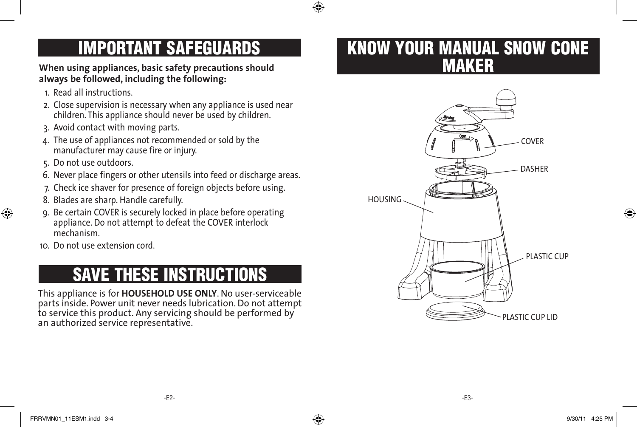

# IMPORTANT SAFEGUARDS

**When using appliances, basic safety precautions should always be followed, including the following:**

- 1. Read all instructions.
- 2. Close supervision is necessary when any appliance is used near children. This appliance should never be used by children.
- 3. Avoid contact with moving parts.
- 4. The use of appliances not recommended or sold by the manufacturer may cause fire or injury.
- 5. Do not use outdoors.

⊕

- 6. Never place fingers or other utensils into feed or discharge areas.
- 7. Check ice shaver for presence of foreign objects before using.
- 8. Blades are sharp. Handle carefully.
- 9. Be certain COVER is securely locked in place before operating appliance. Do not attempt to defeat the COVER interlock mechanism.
- 10. Do not use extension cord.

# SAVE THESE INSTRUCTIONS

This appliance is for **HOUSEHOLD USE ONLY**. No user-serviceable parts inside. Power unit never needs lubrication. Do not attempt to service this product. Any servicing should be performed by an authorized service representative.

# KNOW YOUR MANUAL SNOW CONE MAKER

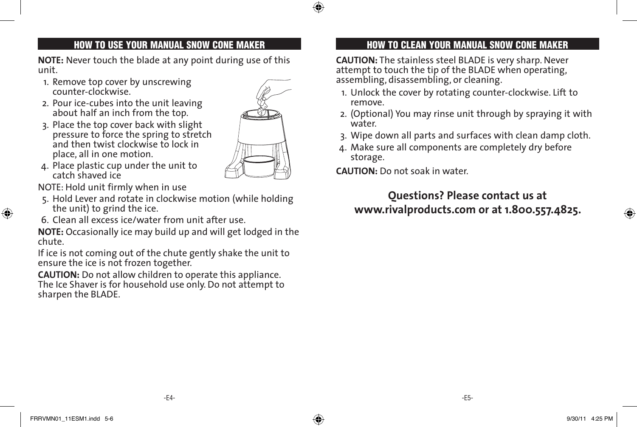**NOTE:** Never touch the blade at any point during use of this unit.

- 1. Remove top cover by unscrewing counter-clockwise.
- 2. Pour ice-cubes into the unit leaving about half an inch from the top.
- 3. Place the top cover back with slight pressure to force the spring to stretch and then twist clockwise to lock in place, all in one motion.



⊕

4. Place plastic cup under the unit to catch shaved ice

NOTE: Hold unit firmly when in use

- 5. Hold Lever and rotate in clockwise motion (while holding the unit) to grind the ice.
- 6. Clean all excess ice/water from unit after use.

**NOTE:** Occasionally ice may build up and will get lodged in the chute.

If ice is not coming out of the chute gently shake the unit to ensure the ice is not frozen together.

**CAUTION:** Do not allow children to operate this appliance. The Ice Shaver is for household use only. Do not attempt to sharpen the BLADE.

# HOW TO USE YOUR MANUAL SNOW CONE MAKER HOW TO CLEAN YOUR MANUAL SNOW CONE MAKER

**CAUTION:** The stainless steel BLADE is very sharp. Never attempt to touch the tip of the BLADE when operating, assembling, disassembling, or cleaning.

- 1. Unlock the cover by rotating counter-clockwise. Lift to remove.
- 2. (Optional) You may rinse unit through by spraying it with water.
- 3. Wipe down all parts and surfaces with clean damp cloth.
- 4. Make sure all components are completely dry before storage.

**CAUTION:** Do not soak in water.

# **Questions? Please contact us at www.rivalproducts.com or at 1.800.557.4825.**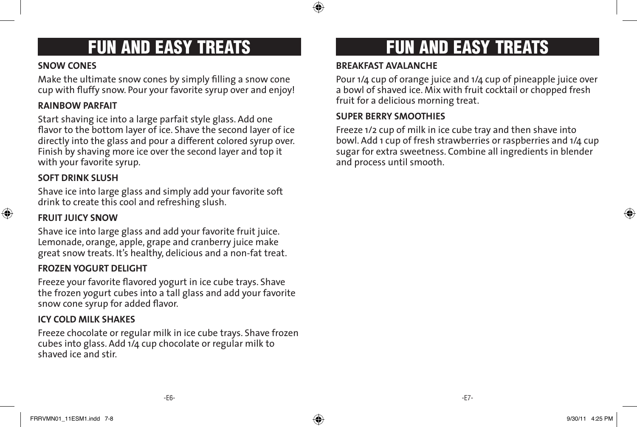## **SNOW CONES**

Make the ultimate snow cones by simply filling a snow cone cup with fluffy snow. Pour your favorite syrup over and enjoy!

# **RAINBOW PARFAIT**

Start shaving ice into a large parfait style glass. Add one flavor to the bottom layer of ice. Shave the second layer of ice directly into the glass and pour a different colored syrup over. Finish by shaving more ice over the second layer and top it with your favorite syrup.

# **SOFT DRINK SLUSH**

Shave ice into large glass and simply add your favorite soft drink to create this cool and refreshing slush.

# **FRUIT JUICY SNOW**

Shave ice into large glass and add your favorite fruit juice. Lemonade, orange, apple, grape and cranberry juice make great snow treats. It's healthy, delicious and a non-fat treat.

# **FROZEN YOGURT DELIGHT**

Freeze your favorite flavored yogurt in ice cube trays. Shave the frozen yogurt cubes into a tall glass and add your favorite snow cone syrup for added flavor.

## **ICY COLD MILK SHAKES**

Freeze chocolate or regular milk in ice cube trays. Shave frozen cubes into glass. Add 1/4 cup chocolate or regular milk to shaved ice and stir.

# FUN AND EASY TREATS FUN AND EASY TREATS

## **BREAKFAST AVALANCHE**

⊕

Pour 1/4 cup of orange juice and 1/4 cup of pineapple juice over a bowl of shaved ice. Mix with fruit cocktail or chopped fresh fruit for a delicious morning treat.

## **SUPER BERRY SMOOTHIES**

Freeze 1/2 cup of milk in ice cube tray and then shave into bowl. Add 1 cup of fresh strawberries or raspberries and 1/4 cup sugar for extra sweetness. Combine all ingredients in blender and process until smooth.

⊕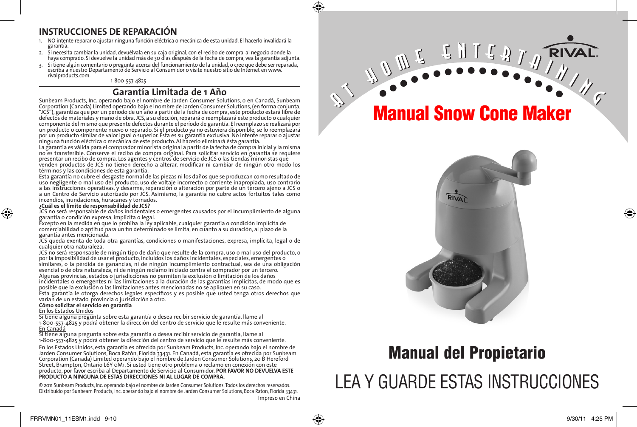## **INSTRUCCIONES DE REPARACIÓN**

- 1. NO intente reparar o ajustar ninguna función eléctrica o mecánica de esta unidad. El hacerlo invalidará la garantía.
- 2. Si necesita cambiar la unidad, devuélvala en su caja original, con el recibo de compra, al negocio donde la haya comprado. Si devuelve la unidad más de 30 días después de la fecha de compra, vea la garantía adjunta.
- 3. Si tiene algún comentario o pregunta acerca del funcionamiento de la unidad, o cree que debe ser reparada, escriba a nuestro Departamento de Servicio al Consumidor o visite nuestro sitio de Internet en www.

1-800-557-4825

## **Garantía Limitada de 1 Año**

Sunbeam Products, Inc. operando bajo el nombre de Jarden Consumer Solutions, o en Canadá, Sunbeam Corporation (Canada) Limited operando bajo el nombre de Jarden Consumer Solutions, (en forma conjunta, "JCS"), garantiza que por un período de un año a partir de la fecha de compra, este producto estará libre de defectos de materiales y mano de obra. JCS, a su elección, reparará o reemplazará este producto o cualquier componente del mismo que presente defectos durante el período de garantía. El reemplazo se realizará por un producto o componente nuevo o reparado. Si el producto ya no estuviera disponible, se lo reemplazará por un producto similar de valor igual o superior. Ésta es su garantía exclusiva. No intente reparar o ajustar ninguna función eléctrica o mecánica de este producto. Al hacerlo elimínará ésta garantía.

La garantía es válida para el comprador minorista original a partir de la fecha de compra inicial y la misma no es transferible. Conserve el recibo de compra original. Para solicitar servicio en garantía se requiere presentar un recibo de compra. Los agentes y centros de servicio de JCS o las tiendas minoristas que

venden productos de JCS no tienen derecho a alterar, modificar ni cambiar de ningún otro modo los términos y las condiciones de esta garantía.

Esta garantía no cubre el desgaste normal de las piezas ni los daños que se produzcan como resultado de uso negligente o mal uso del producto, uso de voltaje incorrecto o corriente inapropiada, uso contrario a las instrucciones operativas, y desarme, reparación o alteración por parte de un tercero ajeno a JCS o a un Centro de Servicio autorizado por JCS. Asimismo, la garantía no cubre actos fortuitos tales como incendios, inundaciones, huracanes y tornados.

#### **¿Cuál es el límite de responsabilidad de JCS?**

JCS no será responsable de daños incidentales o emergentes causados por el incumplimiento de alguna garantía o condición expresa, implícita o legal.

Excepto en la medida en que lo prohíba la ley aplicable, cualquier garantía o condición implícita de comerciabilidad o aptitud para un fin determinado se limita, en cuanto a su duración, al plazo de la garantía antes mencionada.

JCS queda exenta de toda otra garantías, condiciones o manifestaciones, expresa, implícita, legal o de cualquier otra naturaleza.

JCS no será responsable de ningún tipo de daño que resulte de la compra, uso o mal uso del producto, o por la imposibilidad de usar el producto, incluidos los daños incidentales, especiales, emergentes o similares, o la pérdida de ganancias, ni de ningún incumplimiento contractual, sea de una obligación esencial o de otra naturaleza, ni de ningún reclamo iniciado contra el comprador por un tercero. Algunas provincias, estados o jurisdicciones no permiten la exclusión o limitación de los daños incidentales o emergentes ni las limitaciones a la duración de las garantías implícitas, de modo que es posible que la exclusión o las limitaciones antes mencionadas no se apliquen en su caso. Esta garantía le otorga derechos legales específicos y es posible que usted tenga otros derechos que varían de un estado, provincia o jurisdicción a otro.

#### **Cómo solicitar el servicio en garantía**

#### En los Estados Unidos

⊕

Si tiene alguna pregunta sobre esta garantía o desea recibir servicio de garantía, llame al 1-800-557-4825 y podrá obtener la dirección del centro de servicio que le resulte más conveniente. En Canadá

Si tiene alguna pregunta sobre esta garantía o desea recibir servicio de garantía, llame al 1-800-557-4825 y podrá obtener la dirección del centro de servicio que le resulte más conveniente.

En los Estados Unidos, esta garantía es ofrecida por Sunbeam Products, Inc. operando bajo el nombre de Jarden Consumer Solutions, Boca Ratón, Florida 33431. En Canadá, esta garantía es ofrecida por Sunbeam Corporation (Canada) Limited operando bajo el nombre de Jarden Consumer Solutions, 20 B Hereford Street, Brampton, Ontario L6Y 0M1. Si usted tiene otro problema o reclamo en conexión con este producto, por favor escriba al Departamento de Servicio al Consumidor. **POR FAVOR NO DEVUELVA ESTE**<br>PRODUCTO A NINGUNA DE ESTAS DIRECCIONES NI AL LUGAR DE COMPRA.

© 2011 Sunbeam Products, Inc. operando bajo el nombre de Jarden Consumer Solutions. Todos los derechos reservados. Distribuido por Sunbeam Products, Inc. operando bajo el nombre de Jarden Consumer Solutions, Boca Raton, Florida 33431. Impreso en China

# Manual Snow Cone Maker



# Manual del Propietario LEA Y GUARDE ESTAS INSTRUCCIONES

⊕

♠

**RIVA**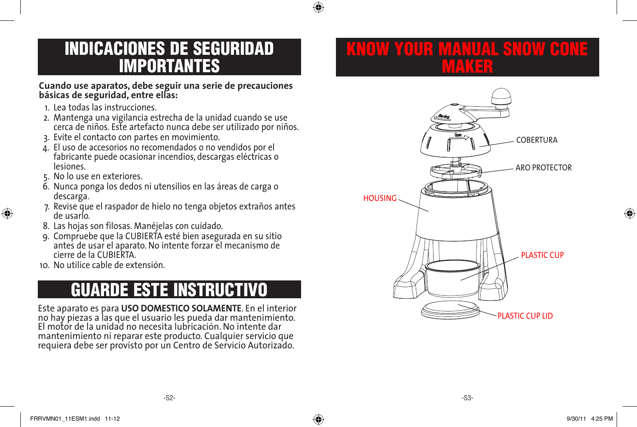

# INDICACIONES DE SEGURIDAD IMPORTANTES

## **Cuando use aparatos, debe seguir una serie de precauciones básicas de seguridad, entre ellas:**

- 1. Lea todas las instrucciones.
- 2. Mantenga una vigilancia estrecha de la unidad cuando se use cerca de niños. Este artefacto nunca debe ser utilizado por niños.
- 3. Evite el contacto con partes en movimiento.
- 4. El uso de accesorios no recomendados o no vendidos por el fabricante puede ocasionar incendios, descargas eléctricas o lesiones.
- 5. No lo use en exteriores.

⊕

- 6. Nunca ponga los dedos ni utensilios en las áreas de carga o descarga.
- 7. Revise que el raspador de hielo no tenga objetos extraños antes de usarlo.
- 8. Las hojas son filosas. Manéjelas con cuidado.
- 9. Compruebe que la CUBIERTA esté bien asegurada en su sitio antes de usar el aparato. No intente forzar el mecanismo de cierre de la CUBIERTA.
- 10. No utilice cable de extensión.

# GUARDE ESTE INSTRUCTIVO

Este aparato es para **USO DOMESTICO SOLAMENTE**. En el interior no hay piezas a las que el usuario les pueda dar mantenimiento. El motor de la unidad no necesita lubricación. No intente dar mantenimiento ni reparar este producto. Cualquier servicio que requiera debe ser provisto por un Centro de Servicio Autorizado.

# KAMANUAL SNOWERO MAKER



♠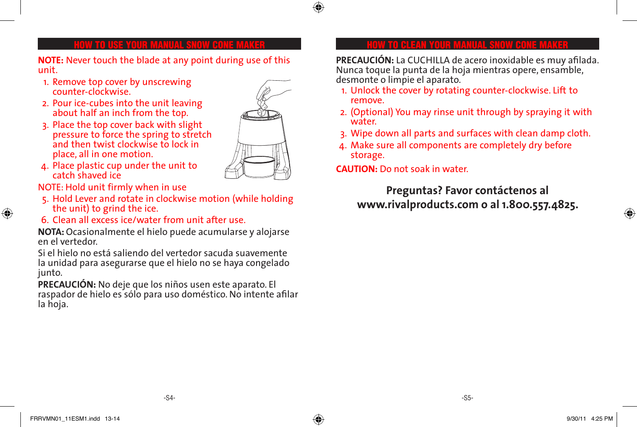## ⊕

**NOTE:** Never touch the blade at any point during use of this unit.

- 1. Remove top cover by unscrewing counter-clockwise.
- 2. Pour ice-cubes into the unit leaving about half an inch from the top.
- 3. Place the top cover back with slight pressure to force the spring to stretch and then twist clockwise to lock in place, all in one motion.



4. Place plastic cup under the unit to catch shaved ice

NOTE: Hold unit firmly when in use

- 5. Hold Lever and rotate in clockwise motion (while holding the unit) to grind the ice.
- 6. Clean all excess ice/water from unit after use.

**NOTA:** Ocasionalmente el hielo puede acumularse y alojarse en el vertedor.

Si el hielo no está saliendo del vertedor sacuda suavemente la unidad para asegurarse que el hielo no se haya congelado junto.

**PRECAUCIÓN:** No deje que los niños usen este aparato. El raspador de hielo es sólo para uso doméstico. No intente afilar la hoja.

## HOW TO USE YOUR MANUAL SNOW CONE MAKER HOW TO CLEAN YOUR MANUAL SNOW CONE MAKER

**PRECAUCIÓN:** La CUCHILLA de acero inoxidable es muy afilada. Nunca toque la punta de la hoja mientras opere, ensamble, desmonte o limpie el aparato.

- 1. Unlock the cover by rotating counter-clockwise. Lift to remove.
- 2. (Optional) You may rinse unit through by spraying it with water.
- 3. Wipe down all parts and surfaces with clean damp cloth.
- 4. Make sure all components are completely dry before storage.

**CAUTION:** Do not soak in water.

**Preguntas? Favor contáctenos al www.rivalproducts.com o al 1.800.557.4825.**